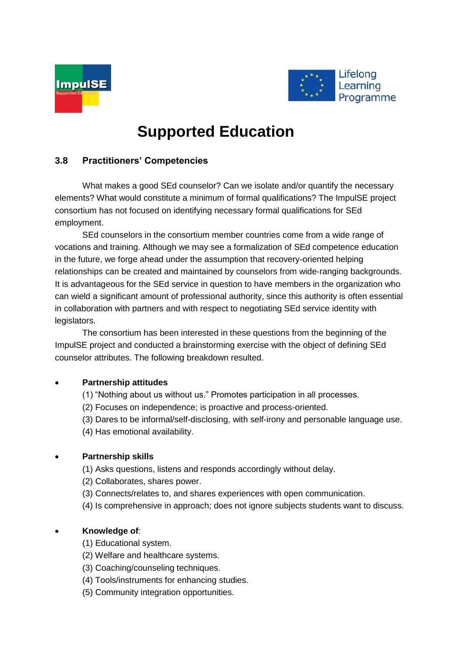



# **Supported Education**

# **3.8 Practitioners' Competencies**

What makes a good SEd counselor? Can we isolate and/or quantify the necessary elements? What would constitute a minimum of formal qualifications? The ImpulSE project consortium has not focused on identifying necessary formal qualifications for SEd employment.

SEd counselors in the consortium member countries come from a wide range of vocations and training. Although we may see a formalization of SEd competence education in the future, we forge ahead under the assumption that recovery-oriented helping relationships can be created and maintained by counselors from wide-ranging backgrounds. It is advantageous for the SEd service in question to have members in the organization who can wield a significant amount of professional authority, since this authority is often essential in collaboration with partners and with respect to negotiating SEd service identity with legislators.

The consortium has been interested in these questions from the beginning of the ImpulSE project and conducted a brainstorming exercise with the object of defining SEd counselor attributes. The following breakdown resulted.

# **Partnership attitudes**

- (1) "Nothing about us without us." Promotes participation in all processes.
- (2) Focuses on independence; is proactive and process-oriented.
- (3) Dares to be informal/self-disclosing, with self-irony and personable language use.
- (4) Has emotional availability.

# **Partnership skills**

- (1) Asks questions, listens and responds accordingly without delay.
- (2) Collaborates, shares power.
- (3) Connects/relates to, and shares experiences with open communication.
- (4) Is comprehensive in approach; does not ignore subjects students want to discuss.

# **Knowledge of**:

- (1) Educational system.
- (2) Welfare and healthcare systems.
- (3) Coaching/counseling techniques.
- (4) Tools/instruments for enhancing studies.
- (5) Community integration opportunities.